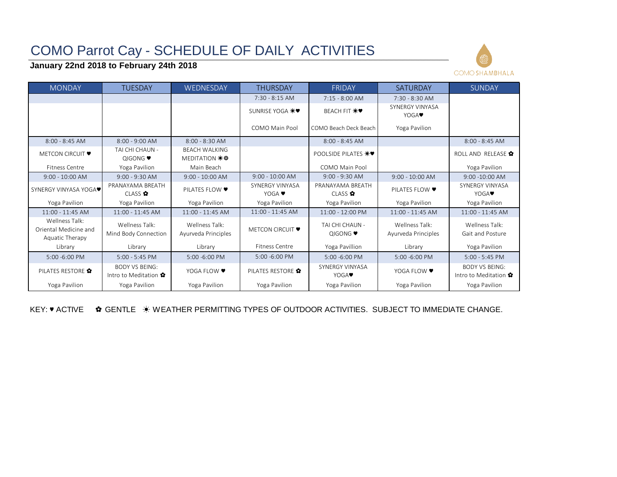# COMO Parrot Cay - SCHEDULE OF DAILY ACTIVITIES

## **January 22nd 2018 to February 24th 2018**



| <b>MONDAY</b>                                              | <b>TUESDAY</b>                                        | WEDNESDAY                                          | <b>THURSDAY</b>                   | <b>FRIDAY</b>                        | <b>SATURDAY</b>                       | <b>SUNDAY</b>                                         |
|------------------------------------------------------------|-------------------------------------------------------|----------------------------------------------------|-----------------------------------|--------------------------------------|---------------------------------------|-------------------------------------------------------|
|                                                            |                                                       |                                                    | 7:30 - 8:15 AM                    | $7:15 - 8:00$ AM                     | 7:30 - 8:30 AM                        |                                                       |
|                                                            |                                                       |                                                    | SUNRISE YOGA *♥                   | <b>BEACH FIT *♥</b>                  | SYNERGY VINYASA<br>YOGA <sup>.</sup>  |                                                       |
|                                                            |                                                       |                                                    | COMO Main Pool                    | COMO Beach Deck Beach                | Yoga Pavilion                         |                                                       |
| $8:00 - 8:45$ AM                                           | $8:00 - 9:00$ AM                                      | $8:00 - 8:30$ AM                                   |                                   | $8:00 - 8:45$ AM                     |                                       | $8:00 - 8:45$ AM                                      |
| <b>METCON CIRCUIT ♥</b>                                    | TAI CHI CHAUN -<br><b>QIGONG</b> ♥                    | <b>BEACH WALKING</b><br>MEDITATION $\frac{1}{2}$ 拳 |                                   | POOLSIDE PILATES *♥                  |                                       | ROLL AND RELEASE *                                    |
| <b>Fitness Centre</b>                                      | Yoga Pavilion                                         | Main Beach                                         |                                   | COMO Main Pool                       |                                       | Yoga Pavilion                                         |
| $9:00 - 10:00$ AM                                          | $9:00 - 9:30$ AM                                      | $9:00 - 10:00$ AM                                  | $9:00 - 10:00$ AM                 | $9:00 - 9:30$ AM                     | $9:00 - 10:00$ AM                     | 9:00 -10:00 AM                                        |
| SYNERGY VINYASA YOGA <sup>O</sup>                          | PRANAYAMA BREATH<br>CLASS ✿                           | PILATES FLOW ♥                                     | SYNERGY VINYASA<br>YOGA $\bullet$ | PRANAYAMA BREATH<br>CIAS             | PILATES FLOW ♥                        | <b>SYNERGY VINYASA</b><br>YOGA <sup>.</sup>           |
| Yoga Pavilion                                              | Yoga Pavilion                                         | Yoga Pavilion                                      | Yoga Pavilion                     | Yoga Pavilion                        | Yoga Pavilion                         | Yoga Pavilion                                         |
| 11:00 - 11:45 AM                                           | 11:00 - 11:45 AM                                      | 11:00 - 11:45 AM                                   | 11:00 - 11:45 AM                  | 11:00 - 12:00 PM                     | 11:00 - 11:45 AM                      | 11:00 - 11:45 AM                                      |
| Wellness Talk:<br>Oriental Medicine and<br>Aquatic Therapy | Wellness Talk:<br>Mind Body Connection                | Wellness Talk:<br>Ayurveda Principles              | <b>METCON CIRCUIT ♥</b>           | TAI CHI CHAUN -<br><b>QIGONG</b> ♥   | Wellness Talk:<br>Ayurveda Principles | Wellness Talk:<br>Gait and Posture                    |
| Library                                                    | Library                                               | Library                                            | <b>Fitness Centre</b>             | Yoga Pavillion                       | Library                               | Yoga Pavilion                                         |
| 5:00 -6:00 PM                                              | $5:00 - 5:45$ PM                                      | 5:00 -6:00 PM                                      | 5:00 -6:00 PM                     | 5:00 -6:00 PM                        | 5:00 -6:00 PM                         | $5:00 - 5:45$ PM                                      |
| PILATES RESTORE <sup>?</sup>                               | <b>BODY VS BEING:</b><br>Intro to Meditation $\Omega$ | YOGA FLOW ♥                                        | PILATES RESTORE                   | SYNERGY VINYASA<br>YOGA <sup>.</sup> | YOGA FLOW ♥                           | <b>BODY VS BEING:</b><br>Intro to Meditation $\Omega$ |
| Yoga Pavilion                                              | Yoga Pavilion                                         | Yoga Pavilion                                      | Yoga Pavilion                     | Yoga Pavilion                        | Yoga Pavilion                         | Yoga Pavilion                                         |

KEY: ♥ ACTIVE ✿ GENTLE ☀ WEATHER PERMITTING TYPES OF OUTDOOR ACTIVITIES. SUBJECT TO IMMEDIATE CHANGE.